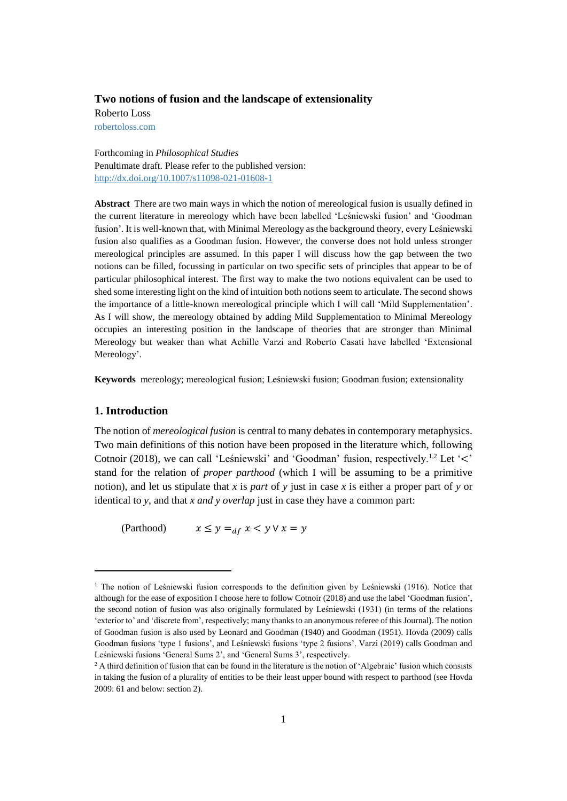# **Two notions of fusion and the landscape of extensionality**

Roberto Loss [robertoloss.com](mailto:robertoloss@gmail.com)

Forthcoming in *Philosophical Studies* Penultimate draft. Please refer to the published version: <http://dx.doi.org/10.1007/s11098-021-01608-1>

**Abstract** There are two main ways in which the notion of mereological fusion is usually defined in the current literature in mereology which have been labelled 'Leśniewski fusion' and 'Goodman fusion'. It is well-known that, with Minimal Mereology as the background theory, every Leśniewski fusion also qualifies as a Goodman fusion. However, the converse does not hold unless stronger mereological principles are assumed. In this paper I will discuss how the gap between the two notions can be filled, focussing in particular on two specific sets of principles that appear to be of particular philosophical interest. The first way to make the two notions equivalent can be used to shed some interesting light on the kind of intuition both notions seem to articulate. The second shows the importance of a little-known mereological principle which I will call 'Mild Supplementation'. As I will show, the mereology obtained by adding Mild Supplementation to Minimal Mereology occupies an interesting position in the landscape of theories that are stronger than Minimal Mereology but weaker than what Achille Varzi and Roberto Casati have labelled 'Extensional Mereology'.

**Keywords** mereology; mereological fusion; Leśniewski fusion; Goodman fusion; extensionality

# **1. Introduction**

 $\overline{\phantom{a}}$ 

The notion of *mereological fusion* is central to many debates in contemporary metaphysics. Two main definitions of this notion have been proposed in the literature which, following Cotnoir (2018), we can call 'Leśniewski' and 'Goodman' fusion, respectively.<sup>1,2</sup> Let ' $\lt$ ' stand for the relation of *proper parthood* (which I will be assuming to be a primitive notion), and let us stipulate that *x* is *part* of *y* just in case *x* is either a proper part of *y* or identical to *y*, and that *x and y overlap* just in case they have a common part:

(Parthood)  $x \leq y =_{df} x < y \vee x = y$ 

<sup>&</sup>lt;sup>1</sup> The notion of Leśniewski fusion corresponds to the definition given by Leśniewski (1916). Notice that although for the ease of exposition I choose here to follow Cotnoir (2018) and use the label 'Goodman fusion', the second notion of fusion was also originally formulated by Leśniewski (1931) (in terms of the relations 'exterior to' and 'discrete from', respectively; many thanks to an anonymous referee of this Journal). The notion of Goodman fusion is also used by Leonard and Goodman (1940) and Goodman (1951). Hovda (2009) calls Goodman fusions 'type 1 fusions', and Leśniewski fusions 'type 2 fusions'. Varzi (2019) calls Goodman and Leśniewski fusions 'General Sums 2', and 'General Sums 3', respectively.

 $2$  A third definition of fusion that can be found in the literature is the notion of 'Algebraic' fusion which consists in taking the fusion of a plurality of entities to be their least upper bound with respect to parthood (see Hovda 2009: 61 and below: section 2).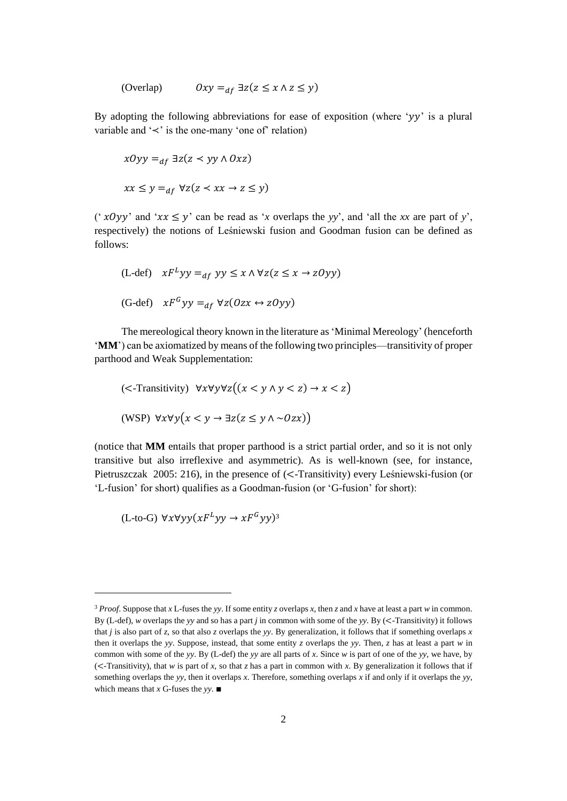(Overlap) 
$$
0xy =_{df} \exists z (z \le x \land z \le y)
$$

By adopting the following abbreviations for ease of exposition (where ' $yy$ ' is a plural variable and '≺' is the one-many 'one of' relation)

$$
x0yy =_{af} \exists z(z \prec yy \land 0xz)
$$
  

$$
xx \le y =_{af} \forall z(z \prec xx \rightarrow z \le y)
$$

(' $x0yy'$  and ' $xx \leq y'$  can be read as '*x* overlaps the *yy*', and 'all the *xx* are part of *y*', respectively) the notions of Leśniewski fusion and Goodman fusion can be defined as follows:

(L-def) 
$$
xF^Lyy =_{df} yy \le x \wedge \forall z(z \le x \rightarrow zOyy)
$$
  
(G-def)  $xF^Gyy =_{df} \forall z(Ozx \leftrightarrow zOyy)$ 

The mereological theory known in the literature as 'Minimal Mereology' (henceforth '**MM**') can be axiomatized by means of the following two principles—transitivity of proper parthood and Weak Supplementation:

(*-Transitivity*) 
$$
\forall x \forall y \forall z ((x < y \land y < z) \rightarrow x < z)
$$
  
(WSP)  $\forall x \forall y (x < y \rightarrow \exists z (z \le y \land \sim 0zx))$ 

(notice that **MM** entails that proper parthood is a strict partial order, and so it is not only transitive but also irreflexive and asymmetric). As is well-known (see, for instance, Pietruszczak 2005: 216), in the presence of (<-Transitivity) every Leśniewski-fusion (or 'L-fusion' for short) qualifies as a Goodman-fusion (or 'G-fusion' for short):

 $(L$ -to-G)  $\forall x \forall yy (xF^Lyy \rightarrow xF^Gyy)^3$ 

 $\overline{a}$ 

<sup>3</sup> *Proof*. Suppose that *x* L-fuses the *yy*. If some entity *z* overlaps *x*, then *z* and *x* have at least a part *w* in common. By (L-def), *w* overlaps the *yy* and so has a part *j* in common with some of the *yy*. By (<-Transitivity) it follows that *j* is also part of *z*, so that also *z* overlaps the *yy*. By generalization, it follows that if something overlaps *x* then it overlaps the *yy*. Suppose, instead, that some entity *z* overlaps the *yy*. Then, *z* has at least a part *w* in common with some of the *yy*. By (L-def) the *yy* are all parts of *x*. Since *w* is part of one of the *yy*, we have, by (<-Transitivity), that *w* is part of *x*, so that *z* has a part in common with *x*. By generalization it follows that if something overlaps the *yy*, then it overlaps *x*. Therefore, something overlaps *x* if and only if it overlaps the *yy*, which means that *x* G-fuses the *yy*. ∎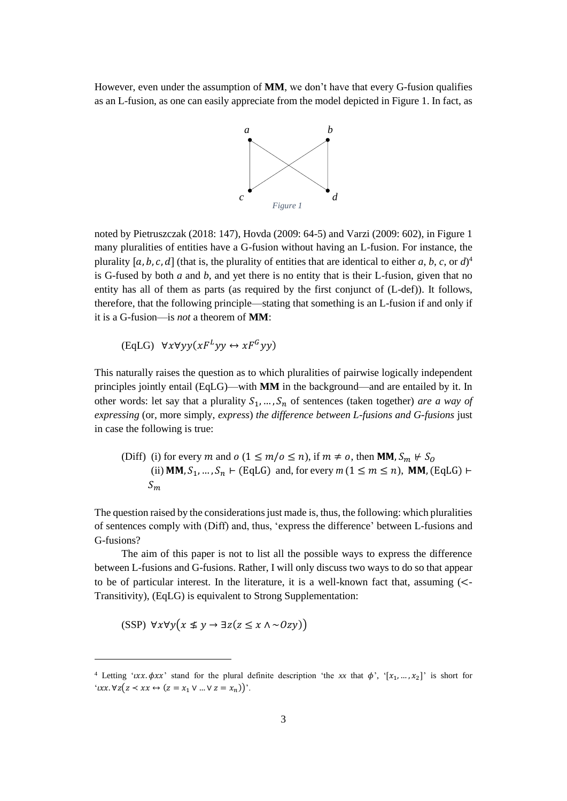However, even under the assumption of **MM**, we don't have that every G-fusion qualifies as an L-fusion, as one can easily appreciate from the model depicted in Figure 1. In fact, as



noted by Pietruszczak (2018: 147), Hovda (2009: 64-5) and Varzi (2009: 602), in Figure 1 many pluralities of entities have a G-fusion without having an L-fusion. For instance, the plurality  $[a, b, c, d]$  (that is, the plurality of entities that are identical to either  $a, b, c,$  or  $d$ )<sup>4</sup> is G-fused by both *a* and *b*, and yet there is no entity that is their L-fusion, given that no entity has all of them as parts (as required by the first conjunct of (L-def)). It follows, therefore, that the following principle—stating that something is an L-fusion if and only if it is a G-fusion—is *not* a theorem of **MM**:

 $(EqLG) \quad \forall x \forall y y (xF^Lyy \leftrightarrow xF^Gyy)$ 

This naturally raises the question as to which pluralities of pairwise logically independent principles jointly entail (EqLG)—with **MM** in the background—and are entailed by it. In other words: let say that a plurality  $S_1, ..., S_n$  of sentences (taken together) *are a way of expressing* (or, more simply, *express*) *the difference between L-fusions and G-fusions* just in case the following is true:

(Diff) (i) for every *m* and *o* (1 ≤ *m*/*o* ≤ *n*), if *m* ≠ *o*, then **MM**, 
$$
S_m
$$
  $\nvdash S_0$   
(ii) **MM**,  $S_1$ , ...,  $S_n$   $\vdash$  (EqLG) and, for every *m* (1 ≤ *m* ≤ *n*), **MM**, (EqLG)  $\vdash$   
 $S_m$ 

The question raised by the considerations just made is, thus, the following: which pluralities of sentences comply with (Diff) and, thus, 'express the difference' between L-fusions and G-fusions?

The aim of this paper is not to list all the possible ways to express the difference between L-fusions and G-fusions. Rather, I will only discuss two ways to do so that appear to be of particular interest. In the literature, it is a well-known fact that, assuming  $\ll$ Transitivity), (EqLG) is equivalent to Strong Supplementation:

$$
(SSP) \ \forall x \forall y \big( x \not\leq y \rightarrow \exists z \big( z \leq x \land \sim Ozy \big) \big)
$$

<sup>&</sup>lt;sup>4</sup> Letting ' $uxx.\phi xx'$  stand for the plural definite description 'the xx that  $\phi'$ , ' $[x_1, ..., x_2]$ ' is short for ' $\iota xx.\forall z(z \prec xx \leftrightarrow (z = x_1 \vee ... \vee z = x_n))$ '.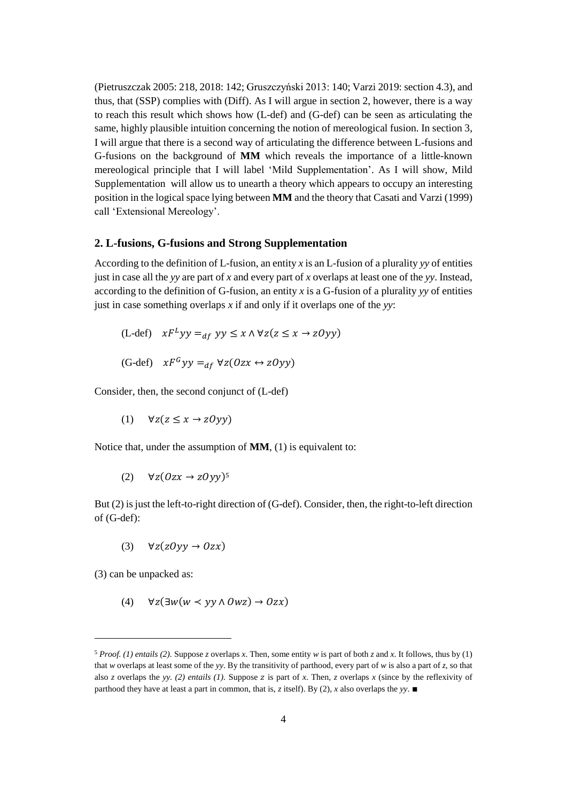(Pietruszczak 2005: 218, 2018: 142; Gruszczyński 2013: 140; Varzi 2019: section 4.3), and thus, that (SSP) complies with (Diff). As I will argue in section 2, however, there is a way to reach this result which shows how (L-def) and (G-def) can be seen as articulating the same, highly plausible intuition concerning the notion of mereological fusion. In section 3, I will argue that there is a second way of articulating the difference between L-fusions and G-fusions on the background of **MM** which reveals the importance of a little-known mereological principle that I will label 'Mild Supplementation'. As I will show, Mild Supplementation will allow us to unearth a theory which appears to occupy an interesting position in the logical space lying between **MM** and the theory that Casati and Varzi (1999) call 'Extensional Mereology'.

### **2. L-fusions, G-fusions and Strong Supplementation**

According to the definition of L-fusion, an entity *x* is an L-fusion of a plurality *yy* of entities just in case all the *yy* are part of *x* and every part of *x* overlaps at least one of the *yy*. Instead, according to the definition of G-fusion, an entity *x* is a G-fusion of a plurality *yy* of entities just in case something overlaps *x* if and only if it overlaps one of the *yy*:

(L-def) 
$$
xF^Lyy =_{df} yy \le x \wedge \forall z(z \le x \rightarrow zOyy)
$$
  
(G-def)  $xF^Gyy =_{df} \forall z(Ozx \leftrightarrow zOyy)$ 

Consider, then, the second conjunct of (L-def)

(1)  $\forall z(z \leq x \rightarrow z0yy)$ 

Notice that, under the assumption of **MM**, (1) is equivalent to:

(2)  $\forall z (0zx \rightarrow z0yy)^5$ 

But (2) is just the left-to-right direction of (G-def). Consider, then, the right-to-left direction of (G-def):

(3)  $\forall z(zOyy \rightarrow Ozx)$ 

(3) can be unpacked as:

l

(4)  $\forall z(\exists w(w \le vy \land 0wz) \rightarrow 0zx)$ 

 $5$  *Proof.* (1) entails (2). Suppose *z* overlaps *x*. Then, some entity *w* is part of both *z* and *x*. It follows, thus by (1) that *w* overlaps at least some of the *yy*. By the transitivity of parthood, every part of *w* is also a part of *z*, so that also *z* overlaps the *yy.* (2) entails (1). Suppose z is part of x. Then, *z* overlaps x (since by the reflexivity of parthood they have at least a part in common, that is, *z* itself). By (2), *x* also overlaps the *yy*. ∎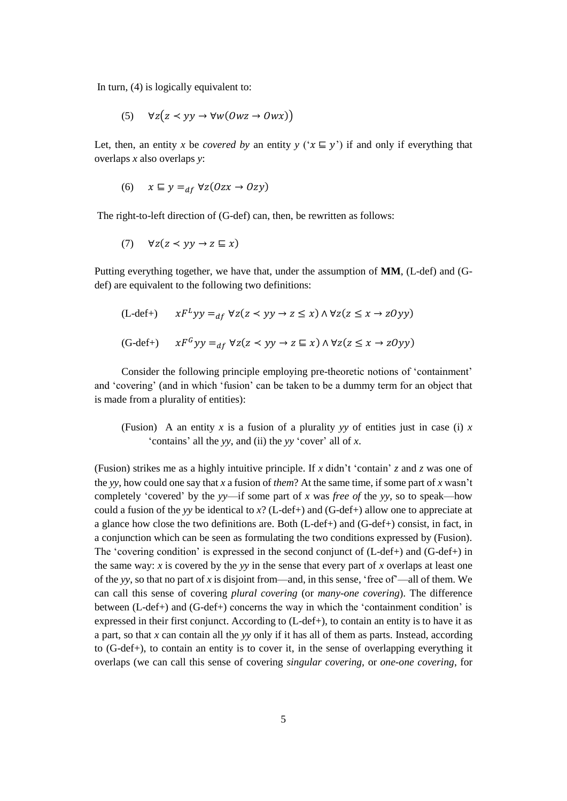In turn, (4) is logically equivalent to:

$$
(5) \quad \forall z (z \prec yy \rightarrow \forall w (0wz \rightarrow 0wx))
$$

Let, then, an entity *x* be *covered by* an entity *y* (' $x \nsubseteq y$ ') if and only if everything that overlaps *x* also overlaps *y*:

$$
(6) \quad x \sqsubseteq y =_{df} \forall z (0zx \rightarrow 0zy)
$$

The right-to-left direction of (G-def) can, then, be rewritten as follows:

$$
(7) \quad \forall z (z \prec yy \rightarrow z \sqsubseteq x)
$$

Putting everything together, we have that, under the assumption of **MM**, (L-def) and (Gdef) are equivalent to the following two definitions:

$$
(L-def+) \qquad xF^Lyy =_{df} \forall z(z \prec yy \to z \le x) \land \forall z(z \le x \to z0yy)
$$

$$
(\text{G-def+}) \qquad xF^Gyy =_{df} \forall z(z \prec yy \rightarrow z \sqsubseteq x) \land \forall z(z \le x \rightarrow z0yy)
$$

Consider the following principle employing pre-theoretic notions of 'containment' and 'covering' (and in which 'fusion' can be taken to be a dummy term for an object that is made from a plurality of entities):

(Fusion) A an entity x is a fusion of a plurality yy of entities just in case (i) x 'contains' all the *yy*, and (ii) the *yy* 'cover' all of *x*.

(Fusion) strikes me as a highly intuitive principle. If *x* didn't 'contain' *z* and *z* was one of the *yy*, how could one say that *x* a fusion of *them*? At the same time, if some part of *x* wasn't completely 'covered' by the *yy*—if some part of *x* was *free of* the *yy*, so to speak—how could a fusion of the *yy* be identical to  $x$ ? (L-def+) and (G-def+) allow one to appreciate at a glance how close the two definitions are. Both  $(L-def+)$  and  $(G-def+)$  consist, in fact, in a conjunction which can be seen as formulating the two conditions expressed by (Fusion). The 'covering condition' is expressed in the second conjunct of (L-def+) and (G-def+) in the same way: *x* is covered by the *yy* in the sense that every part of *x* overlaps at least one of the *yy*, so that no part of *x* is disjoint from—and, in this sense, 'free of'—all of them. We can call this sense of covering *plural covering* (or *many-one covering*). The difference between (L-def+) and (G-def+) concerns the way in which the 'containment condition' is expressed in their first conjunct. According to (L-def+), to contain an entity is to have it as a part, so that *x* can contain all the *yy* only if it has all of them as parts. Instead, according to (G-def+), to contain an entity is to cover it, in the sense of overlapping everything it overlaps (we can call this sense of covering *singular covering,* or *one-one covering*, for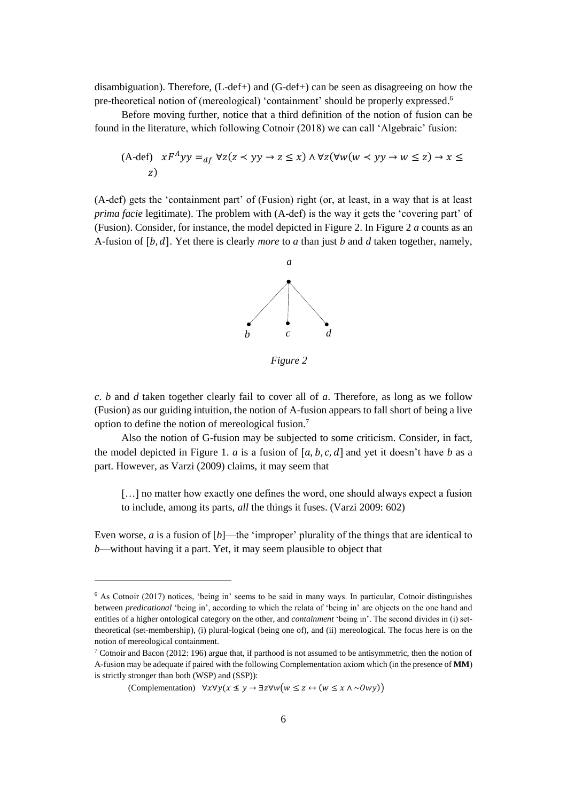disambiguation). Therefore, (L-def+) and (G-def+) can be seen as disagreeing on how the pre-theoretical notion of (mereological) 'containment' should be properly expressed.<sup>6</sup>

Before moving further, notice that a third definition of the notion of fusion can be found in the literature, which following Cotnoir (2018) we can call 'Algebraic' fusion:

(A-def) 
$$
xF^Ayy =_{df} \forall z(z \prec yy \rightarrow z \le x) \land \forall z(\forall w(w \prec yy \rightarrow w \le z) \rightarrow x \le z)
$$
  
\n*z*)

(A-def) gets the 'containment part' of (Fusion) right (or, at least, in a way that is at least *prima facie* legitimate). The problem with (A-def) is the way it gets the 'covering part' of (Fusion). Consider, for instance, the model depicted in Figure 2. In Figure 2 *a* counts as an A-fusion of [b, d]. Yet there is clearly *more* to *a* than just *b* and *d* taken together, namely,



*Figure 2*

*c*. *b* and *d* taken together clearly fail to cover all of *a*. Therefore, as long as we follow (Fusion) as our guiding intuition, the notion of A-fusion appears to fall short of being a live option to define the notion of mereological fusion.<sup>7</sup>

Also the notion of G-fusion may be subjected to some criticism. Consider, in fact, the model depicted in Figure 1. *a* is a fusion of  $[a, b, c, d]$  and yet it doesn't have *b* as a part. However, as Varzi (2009) claims, it may seem that

[...] no matter how exactly one defines the word, one should always expect a fusion to include, among its parts, *all* the things it fuses. (Varzi 2009: 602)

Even worse,  $a$  is a fusion of  $[b]$ —the 'improper' plurality of the things that are identical to *b*—without having it a part. Yet, it may seem plausible to object that

 $\overline{\phantom{a}}$ 

<sup>6</sup> As Cotnoir (2017) notices, 'being in' seems to be said in many ways. In particular, Cotnoir distinguishes between *predicational* 'being in', according to which the relata of 'being in' are objects on the one hand and entities of a higher ontological category on the other, and *containment* 'being in'. The second divides in (i) settheoretical (set-membership), (i) plural-logical (being one of), and (ii) mereological. The focus here is on the notion of mereological containment.

<sup>7</sup> Cotnoir and Bacon (2012: 196) argue that, if parthood is not assumed to be antisymmetric, then the notion of A-fusion may be adequate if paired with the following Complementation axiom which (in the presence of **MM**) is strictly stronger than both (WSP) and (SSP)):

<sup>(</sup>Complementation)  $\forall x \forall y (x \leq y \rightarrow \exists z \forall w (w \leq z \leftrightarrow (w \leq x \land \sim \text{O}wy))$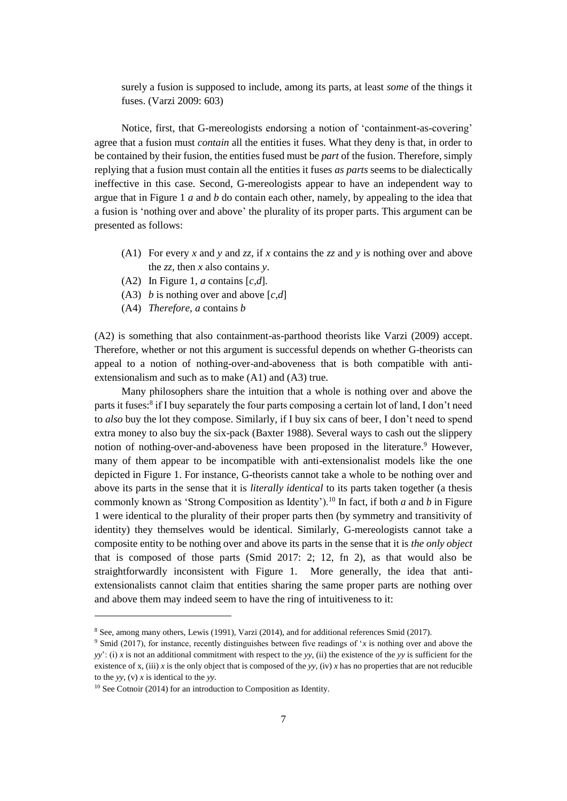surely a fusion is supposed to include, among its parts, at least *some* of the things it fuses. (Varzi 2009: 603)

Notice, first, that G-mereologists endorsing a notion of 'containment-as-covering' agree that a fusion must *contain* all the entities it fuses. What they deny is that, in order to be contained by their fusion, the entities fused must be *part* of the fusion. Therefore, simply replying that a fusion must contain all the entities it fuses *as parts* seems to be dialectically ineffective in this case. Second, G-mereologists appear to have an independent way to argue that in Figure 1 *a* and *b* do contain each other, namely, by appealing to the idea that a fusion is 'nothing over and above' the plurality of its proper parts. This argument can be presented as follows:

- (A1) For every *x* and *y* and *zz*, if *x* contains the *zz* and *y* is nothing over and above the *zz*, then *x* also contains *y*.
- (A2) In Figure 1, *a* contains [*c,d*].
- (A3) *b* is nothing over and above [*c,d*]
- (A4) *Therefore*, *a* contains *b*

(A2) is something that also containment-as-parthood theorists like Varzi (2009) accept. Therefore, whether or not this argument is successful depends on whether G-theorists can appeal to a notion of nothing-over-and-aboveness that is both compatible with antiextensionalism and such as to make (A1) and (A3) true.

Many philosophers share the intuition that a whole is nothing over and above the parts it fuses:<sup>8</sup> if I buy separately the four parts composing a certain lot of land, I don't need to *also* buy the lot they compose. Similarly, if I buy six cans of beer, I don't need to spend extra money to also buy the six-pack (Baxter 1988). Several ways to cash out the slippery notion of nothing-over-and-aboveness have been proposed in the literature. <sup>9</sup> However, many of them appear to be incompatible with anti-extensionalist models like the one depicted in Figure 1. For instance, G-theorists cannot take a whole to be nothing over and above its parts in the sense that it is *literally identical* to its parts taken together (a thesis commonly known as 'Strong Composition as Identity').<sup>10</sup> In fact, if both *a* and *b* in Figure 1 were identical to the plurality of their proper parts then (by symmetry and transitivity of identity) they themselves would be identical. Similarly, G-mereologists cannot take a composite entity to be nothing over and above its parts in the sense that it is *the only object* that is composed of those parts (Smid 2017: 2; 12, fn 2), as that would also be straightforwardly inconsistent with Figure 1. More generally, the idea that antiextensionalists cannot claim that entities sharing the same proper parts are nothing over and above them may indeed seem to have the ring of intuitiveness to it:

<sup>8</sup> See, among many others, Lewis (1991), Varzi (2014), and for additional references Smid (2017).

<sup>9</sup> Smid (2017), for instance, recently distinguishes between five readings of '*x* is nothing over and above the *yy*': (i) *x* is not an additional commitment with respect to the *yy*, (ii) the existence of the *yy* is sufficient for the existence of x, (iii) x is the only object that is composed of the yy, (iv) x has no properties that are not reducible to the *yy*, (v) *x* is identical to the *yy*.

<sup>&</sup>lt;sup>10</sup> See Cotnoir (2014) for an introduction to Composition as Identity.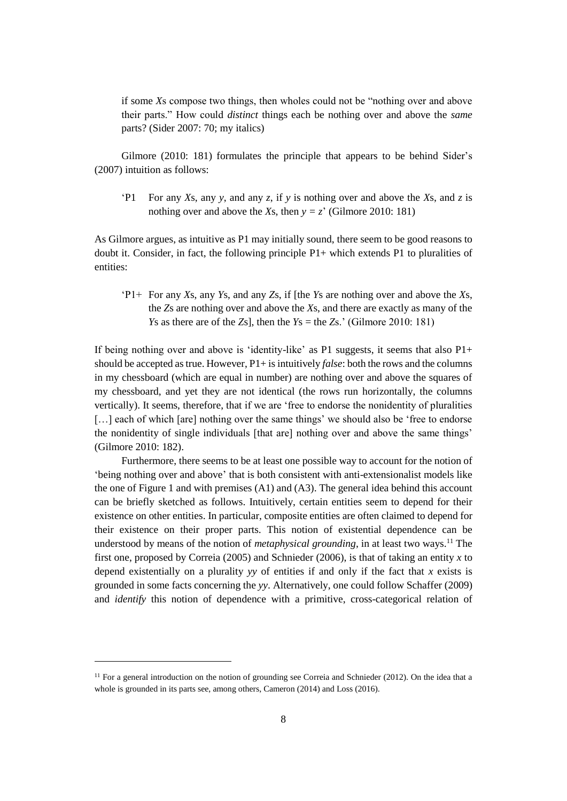if some *X*s compose two things, then wholes could not be "nothing over and above their parts." How could *distinct* things each be nothing over and above the *same* parts? (Sider 2007: 70; my italics)

Gilmore (2010: 181) formulates the principle that appears to be behind Sider's (2007) intuition as follows:

'P1 For any *Xs*, any *y*, and any *z*, if *y* is nothing over and above the *Xs*, and *z* is nothing over and above the *Xs*, then  $y = z'$  (Gilmore 2010: 181)

As Gilmore argues, as intuitive as P1 may initially sound, there seem to be good reasons to doubt it. Consider, in fact, the following principle  $P1+$  which extends P1 to pluralities of entities:

'P1+ For any *X*s, any *Y*s, and any *Z*s, if [the *Y*s are nothing over and above the *X*s, the *Z*s are nothing over and above the *X*s, and there are exactly as many of the *Y*s as there are of the *Z*s], then the *Y*s = the *Z*s.' (Gilmore 2010: 181)

If being nothing over and above is 'identity-like' as P1 suggests, it seems that also  $P1+$ should be accepted as true. However, P1+ is intuitively *false*: both the rows and the columns in my chessboard (which are equal in number) are nothing over and above the squares of my chessboard, and yet they are not identical (the rows run horizontally, the columns vertically). It seems, therefore, that if we are 'free to endorse the nonidentity of pluralities [...] each of which [are] nothing over the same things' we should also be 'free to endorse the nonidentity of single individuals [that are] nothing over and above the same things' (Gilmore 2010: 182).

Furthermore, there seems to be at least one possible way to account for the notion of 'being nothing over and above' that is both consistent with anti-extensionalist models like the one of Figure 1 and with premises (A1) and (A3). The general idea behind this account can be briefly sketched as follows. Intuitively, certain entities seem to depend for their existence on other entities. In particular, composite entities are often claimed to depend for their existence on their proper parts. This notion of existential dependence can be understood by means of the notion of *metaphysical grounding*, in at least two ways.<sup>11</sup> The first one, proposed by Correia (2005) and Schnieder (2006), is that of taking an entity *x* to depend existentially on a plurality *yy* of entities if and only if the fact that *x* exists is grounded in some facts concerning the *yy*. Alternatively, one could follow Schaffer (2009) and *identify* this notion of dependence with a primitive, cross-categorical relation of

 $\overline{\phantom{a}}$ 

 $11$  For a general introduction on the notion of grounding see Correia and Schnieder (2012). On the idea that a whole is grounded in its parts see, among others, Cameron (2014) and Loss (2016).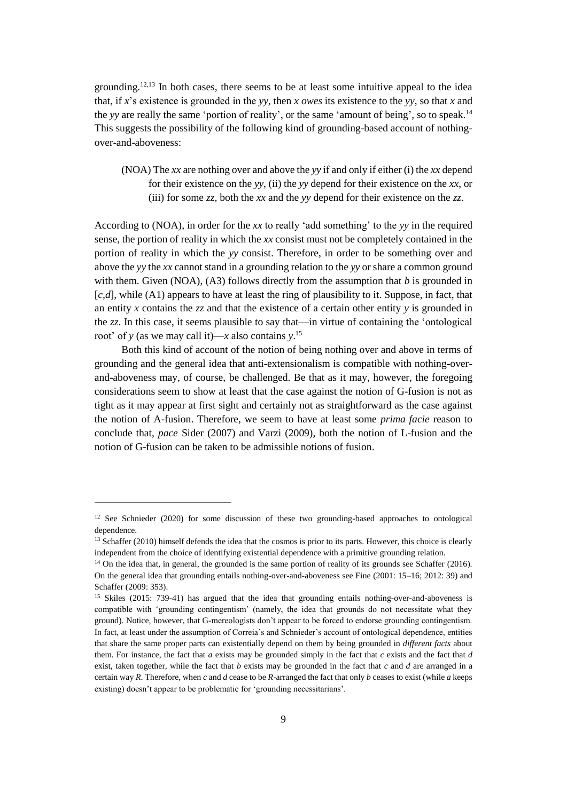grounding.<sup>12,13</sup> In both cases, there seems to be at least some intuitive appeal to the idea that, if *x*'s existence is grounded in the *yy*, then *x owes* its existence to the *yy*, so that *x* and the *yy* are really the same 'portion of reality', or the same 'amount of being', so to speak. 14 This suggests the possibility of the following kind of grounding-based account of nothingover-and-aboveness:

(NOA) The *xx* are nothing over and above the *yy* if and only if either (i) the *xx* depend for their existence on the *yy*, (ii) the *yy* depend for their existence on the *xx*, or (iii) for some *zz*, both the *xx* and the *yy* depend for their existence on the *zz*.

According to (NOA), in order for the *xx* to really 'add something' to the *yy* in the required sense, the portion of reality in which the *xx* consist must not be completely contained in the portion of reality in which the *yy* consist. Therefore, in order to be something over and above the *yy* the *xx* cannot stand in a grounding relation to the *yy* or share a common ground with them. Given (NOA),  $(A3)$  follows directly from the assumption that *b* is grounded in [*c,d*], while (A1) appears to have at least the ring of plausibility to it. Suppose, in fact, that an entity *x* contains the *zz* and that the existence of a certain other entity *y* is grounded in the *zz*. In this case, it seems plausible to say that—in virtue of containing the 'ontological root' of *y* (as we may call it)—*x* also contains *y*. 15

Both this kind of account of the notion of being nothing over and above in terms of grounding and the general idea that anti-extensionalism is compatible with nothing-overand-aboveness may, of course, be challenged. Be that as it may, however, the foregoing considerations seem to show at least that the case against the notion of G-fusion is not as tight as it may appear at first sight and certainly not as straightforward as the case against the notion of A-fusion. Therefore, we seem to have at least some *prima facie* reason to conclude that, *pace* Sider (2007) and Varzi (2009), both the notion of L-fusion and the notion of G-fusion can be taken to be admissible notions of fusion.

<sup>&</sup>lt;sup>12</sup> See Schnieder (2020) for some discussion of these two grounding-based approaches to ontological dependence.

<sup>&</sup>lt;sup>13</sup> Schaffer (2010) himself defends the idea that the cosmos is prior to its parts. However, this choice is clearly independent from the choice of identifying existential dependence with a primitive grounding relation.

<sup>&</sup>lt;sup>14</sup> On the idea that, in general, the grounded is the same portion of reality of its grounds see Schaffer (2016). On the general idea that grounding entails nothing-over-and-aboveness see Fine (2001: 15–16; 2012: 39) and Schaffer (2009: 353).

<sup>15</sup> Skiles (2015: 739-41) has argued that the idea that grounding entails nothing-over-and-aboveness is compatible with 'grounding contingentism' (namely, the idea that grounds do not necessitate what they ground). Notice, however, that G-mereologists don't appear to be forced to endorse grounding contingentism. In fact, at least under the assumption of Correia's and Schnieder's account of ontological dependence, entities that share the same proper parts can existentially depend on them by being grounded in *different facts* about them. For instance, the fact that *a* exists may be grounded simply in the fact that *c* exists and the fact that *d* exist, taken together, while the fact that *b* exists may be grounded in the fact that *c* and *d* are arranged in a certain way *R*. Therefore, when *c* and *d* cease to be *R*-arranged the fact that only *b* ceases to exist (while *a* keeps existing) doesn't appear to be problematic for 'grounding necessitarians'.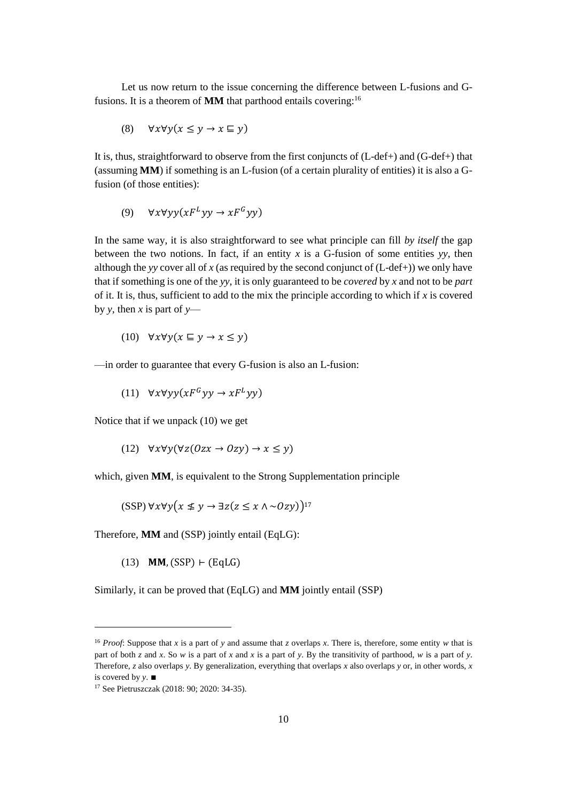Let us now return to the issue concerning the difference between L-fusions and Gfusions. It is a theorem of **MM** that parthood entails covering:<sup>16</sup>

$$
(8) \quad \forall x \forall y (x \le y \to x \sqsubseteq y)
$$

It is, thus, straightforward to observe from the first conjuncts of (L-def+) and (G-def+) that (assuming **MM**) if something is an L-fusion (of a certain plurality of entities) it is also a Gfusion (of those entities):

(9)  $\forall x \forall y y (xF^Lyy \rightarrow xF^Gyy)$ 

In the same way, it is also straightforward to see what principle can fill *by itself* the gap between the two notions. In fact, if an entity  $x$  is a G-fusion of some entities  $yy$ , then although the *yy* cover all of *x* (as required by the second conjunct of  $(L-def+))$  we only have that if something is one of the *yy*, it is only guaranteed to be *covered* by *x* and not to be *part* of it. It is, thus, sufficient to add to the mix the principle according to which if  $x$  is covered by *y*, then *x* is part of  $y$ —

(10) 
$$
\forall x \forall y (x \sqsubseteq y \rightarrow x \leq y)
$$

—in order to guarantee that every G-fusion is also an L-fusion:

(11)  $\forall x \forall y y (xF^G y y \rightarrow xF^L yy)$ 

Notice that if we unpack (10) we get

(12) 
$$
\forall x \forall y (\forall z (0zx \rightarrow 0zy) \rightarrow x \leq y)
$$

which, given **MM**, is equivalent to the Strong Supplementation principle

 $(SSP) \forall x \forall y (x \leq y \rightarrow \exists z (z \leq x \land \sim Ozy))^{17}$ 

Therefore, **MM** and (SSP) jointly entail (EqLG):

 $(13)$  MM,  $(SSP)$  ⊢ (EqLG)

Similarly, it can be proved that (EqLG) and **MM** jointly entail (SSP)

<sup>16</sup> *Proof*: Suppose that *x* is a part of *y* and assume that *z* overlaps *x*. There is, therefore, some entity *w* that is part of both *z* and *x*. So *w* is a part of *x* and *x* is a part of *y*. By the transitivity of parthood, *w* is a part of *y*. Therefore, *z* also overlaps *y*. By generalization, everything that overlaps *x* also overlaps *y* or, in other words, *x* is covered by *y*. ∎

<sup>17</sup> See Pietruszczak (2018: 90; 2020: 34-35).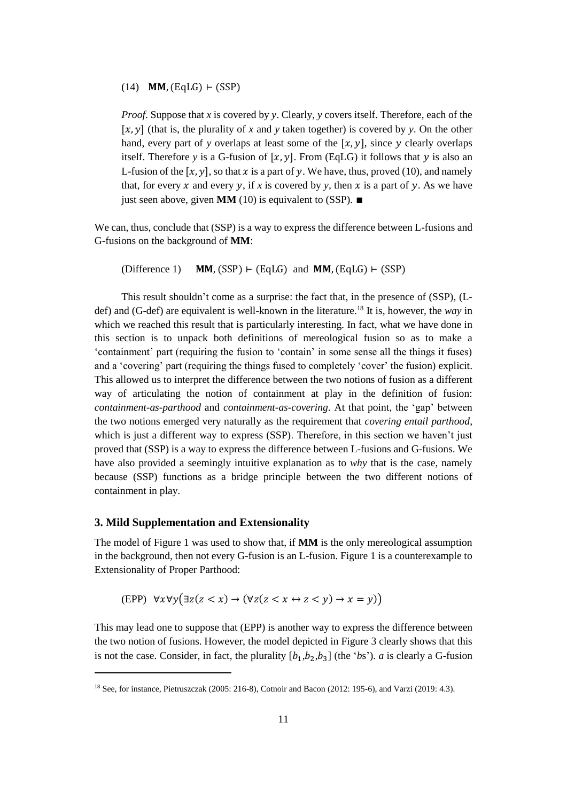# $(14)$  MM,  $(EqLG)$  ⊢ (SSP)

*Proof*. Suppose that *x* is covered by *y*. Clearly, *y* covers itself. Therefore, each of the  $[x, y]$  (that is, the plurality of x and y taken together) is covered by y. On the other hand, every part of *y* overlaps at least some of the  $[x, y]$ , since *y* clearly overlaps itself. Therefore *y* is a G-fusion of  $[x, y]$ . From (EqLG) it follows that *y* is also an L-fusion of the  $[x, y]$ , so that x is a part of y. We have, thus, proved (10), and namely that, for every x and every y, if x is covered by y, then x is a part of y. As we have just seen above, given **MM** (10) is equivalent to (SSP). ∎

We can, thus, conclude that (SSP) is a way to express the difference between L-fusions and G-fusions on the background of **MM**:

(Difference 1) **MM.** (SSP) ⊢ (EqLG) and **MM.** (EqLG) ⊢ (SSP)

This result shouldn't come as a surprise: the fact that, in the presence of (SSP), (Ldef) and (G-def) are equivalent is well-known in the literature.<sup>18</sup> It is, however, the *way* in which we reached this result that is particularly interesting. In fact, what we have done in this section is to unpack both definitions of mereological fusion so as to make a 'containment' part (requiring the fusion to 'contain' in some sense all the things it fuses) and a 'covering' part (requiring the things fused to completely 'cover' the fusion) explicit. This allowed us to interpret the difference between the two notions of fusion as a different way of articulating the notion of containment at play in the definition of fusion: *containment-as-parthood* and *containment-as-covering*. At that point, the 'gap' between the two notions emerged very naturally as the requirement that *covering entail parthood*, which is just a different way to express (SSP). Therefore, in this section we haven't just proved that (SSP) is a way to express the difference between L-fusions and G-fusions. We have also provided a seemingly intuitive explanation as to *why* that is the case, namely because (SSP) functions as a bridge principle between the two different notions of containment in play.

#### **3. Mild Supplementation and Extensionality**

 $\overline{\phantom{a}}$ 

The model of Figure 1 was used to show that, if **MM** is the only mereological assumption in the background, then not every G-fusion is an L-fusion. Figure 1 is a counterexample to Extensionality of Proper Parthood:

$$
(\text{EPP}) \ \forall x \forall y \big(\exists z (z < x) \rightarrow (\forall z (z < x \leftrightarrow z < y) \rightarrow x = y)\big)
$$

This may lead one to suppose that (EPP) is another way to express the difference between the two notion of fusions. However, the model depicted in Figure 3 clearly shows that this is not the case. Consider, in fact, the plurality  $[b_1,b_2,b_3]$  (the '*bs*'). *a* is clearly a G-fusion

<sup>18</sup> See, for instance, Pietruszczak (2005: 216-8), Cotnoir and Bacon (2012: 195-6), and Varzi (2019: 4.3).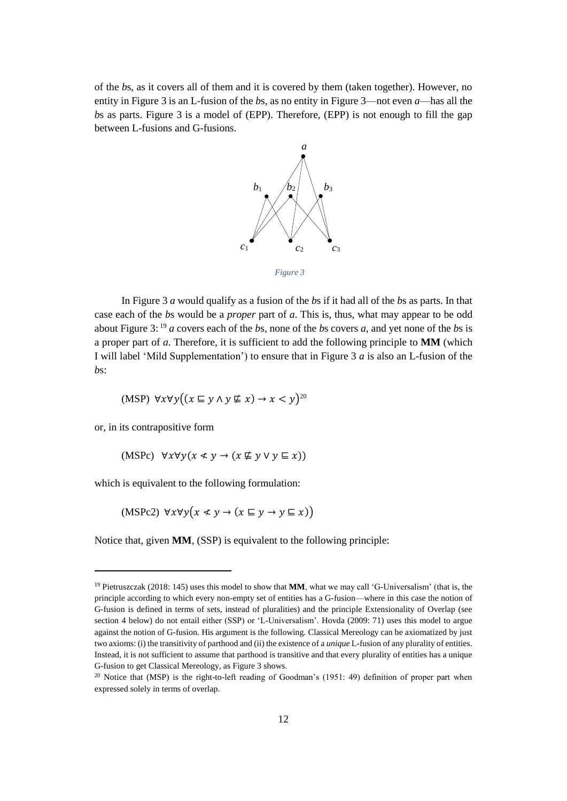of the *b*s, as it covers all of them and it is covered by them (taken together). However, no entity in Figure 3 is an L-fusion of the *b*s, as no entity in Figure 3—not even *a*—has all the *b*s as parts. Figure 3 is a model of (EPP). Therefore, (EPP) is not enough to fill the gap between L-fusions and G-fusions.



*Figure 3*

In Figure 3 *a* would qualify as a fusion of the *b*s if it had all of the *b*s as parts. In that case each of the *b*s would be a *proper* part of *a*. This is, thus, what may appear to be odd about Figure 3: <sup>19</sup> *a* covers each of the *b*s, none of the *b*s covers *a*, and yet none of the *b*s is a proper part of *a*. Therefore, it is sufficient to add the following principle to **MM** (which I will label 'Mild Supplementation') to ensure that in Figure 3 *a* is also an L-fusion of the *b*s:

$$
(\text{MSP}) \ \forall x \forall y \big( (x \sqsubseteq y \land y \not\sqsubseteq x) \to x < y \big)^{20}
$$

or, in its contrapositive form

 $\overline{\phantom{a}}$ 

(MSPc)  $\forall x \forall y (x \leq y \rightarrow (x \not\sqsubseteq y \vee y \sqsubseteq x))$ 

which is equivalent to the following formulation:

(MSPc2)  $\forall x \forall y (x \leq y \rightarrow (x \sqsubseteq y \rightarrow y \sqsubseteq x))$ 

Notice that, given **MM**, (SSP) is equivalent to the following principle:

<sup>19</sup> Pietruszczak (2018: 145) uses this model to show that **MM**, what we may call 'G-Universalism' (that is, the principle according to which every non-empty set of entities has a G-fusion—where in this case the notion of G-fusion is defined in terms of sets, instead of pluralities) and the principle Extensionality of Overlap (see section 4 below) do not entail either (SSP) or 'L-Universalism'. Hovda (2009: 71) uses this model to argue against the notion of G-fusion. His argument is the following. Classical Mereology can be axiomatized by just two axioms: (i) the transitivity of parthood and (ii) the existence of a *unique* L-fusion of any plurality of entities. Instead, it is not sufficient to assume that parthood is transitive and that every plurality of entities has a unique G-fusion to get Classical Mereology, as Figure 3 shows.

 $20$  Notice that (MSP) is the right-to-left reading of Goodman's (1951: 49) definition of proper part when expressed solely in terms of overlap.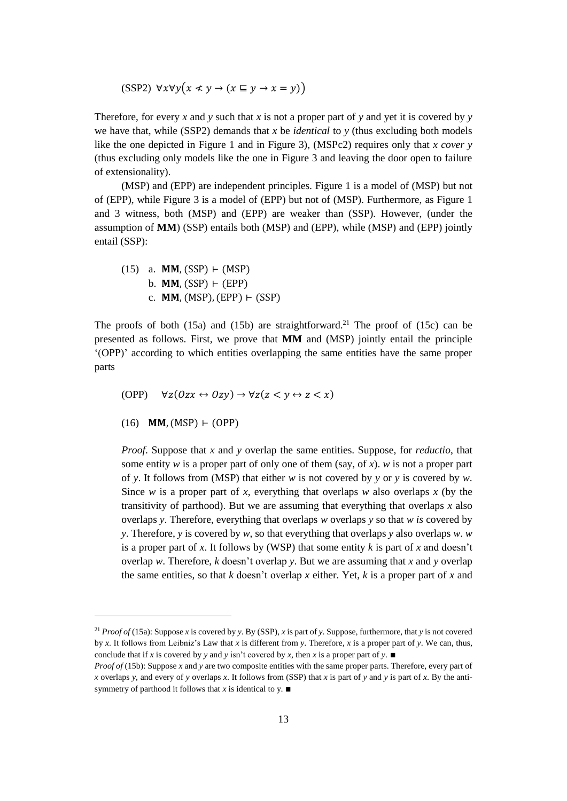(SSP2)  $\forall x \forall y (x \leq y \rightarrow (x \sqsubseteq y \rightarrow x = y))$ 

Therefore, for every *x* and *y* such that *x* is not a proper part of *y* and yet it is covered by *y* we have that, while (SSP2) demands that *x* be *identical* to *y* (thus excluding both models like the one depicted in Figure 1 and in Figure 3), (MSPc2) requires only that *x cover y* (thus excluding only models like the one in Figure 3 and leaving the door open to failure of extensionality).

(MSP) and (EPP) are independent principles. Figure 1 is a model of (MSP) but not of (EPP), while Figure 3 is a model of (EPP) but not of (MSP). Furthermore, as Figure 1 and 3 witness, both (MSP) and (EPP) are weaker than (SSP). However, (under the assumption of **MM**) (SSP) entails both (MSP) and (EPP), while (MSP) and (EPP) jointly entail (SSP):

(15) a. MM, (SSP) 
$$
\vdash
$$
 (MSP)  
b. MM, (SSP)  $\vdash$  (EPP)  
c. MM, (MSP), (EPP)  $\vdash$  (SSP)

The proofs of both (15a) and (15b) are straightforward.<sup>21</sup> The proof of (15c) can be presented as follows. First, we prove that **MM** and (MSP) jointly entail the principle '(OPP)' according to which entities overlapping the same entities have the same proper parts

$$
(\text{OPP}) \quad \forall z (0zx \leftrightarrow 0zy) \rightarrow \forall z (z < y \leftrightarrow z < x)
$$

 $(16)$  **MM.** (MSP) ⊢ (OPP)

 $\overline{\phantom{a}}$ 

*Proof*. Suppose that *x* and *y* overlap the same entities. Suppose, for *reductio*, that some entity *w* is a proper part of only one of them (say, of *x*). *w* is not a proper part of *y*. It follows from (MSP) that either *w* is not covered by *y* or *y* is covered by *w*. Since *w* is a proper part of *x*, everything that overlaps *w* also overlaps *x* (by the transitivity of parthood). But we are assuming that everything that overlaps *x* also overlaps *y*. Therefore, everything that overlaps *w* overlaps *y* so that *w is* covered by *y*. Therefore, *y* is covered by *w*, so that everything that overlaps *y* also overlaps *w*. *w* is a proper part of x. It follows by (WSP) that some entity  $k$  is part of  $x$  and doesn't overlap *w*. Therefore, *k* doesn't overlap *y*. But we are assuming that *x* and *y* overlap the same entities, so that *k* doesn't overlap *x* either. Yet, *k* is a proper part of *x* and

<sup>&</sup>lt;sup>21</sup> *Proof of* (15a): Suppose *x* is covered by *y*. By (SSP), *x* is part of *y*. Suppose, furthermore, that *y* is not covered by *x*. It follows from Leibniz's Law that *x* is different from *y*. Therefore, *x* is a proper part of *y*. We can, thus, conclude that if *x* is covered by *y* and *y* isn't covered by *x*, then *x* is a proper part of *y*.

*Proof of* (15b): Suppose *x* and *y* are two composite entities with the same proper parts. Therefore, every part of *x* overlaps *y*, and every of *y* overlaps *x*. It follows from (SSP) that *x* is part of *y* and *y* is part of *x*. By the antisymmetry of parthood it follows that *x* is identical to y.  $\blacksquare$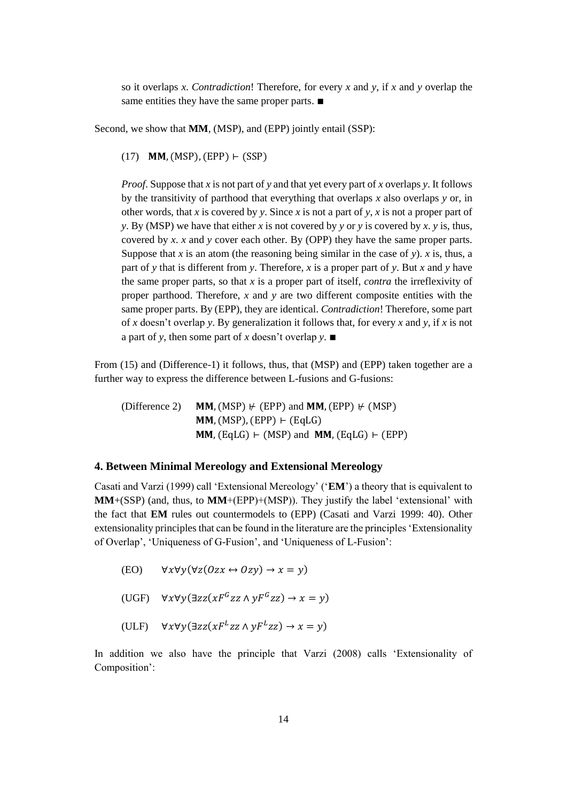so it overlaps *x*. *Contradiction*! Therefore, for every *x* and *y*, if *x* and *y* overlap the same entities they have the same proper parts. ■

Second, we show that **MM**, (MSP), and (EPP) jointly entail (SSP):

(17)  $MM, (MSP), (EPP) \vdash (SSP)$ 

*Proof*. Suppose that *x* is not part of *y* and that yet every part of *x* overlaps *y*. It follows by the transitivity of parthood that everything that overlaps *x* also overlaps *y* or, in other words, that *x* is covered by *y*. Since *x* is not a part of *y*, *x* is not a proper part of *y*. By (MSP) we have that either *x* is not covered by *y* or *y* is covered by *x*. *y* is, thus, covered by *x*. *x* and *y* cover each other. By (OPP) they have the same proper parts. Suppose that *x* is an atom (the reasoning being similar in the case of *y*). *x* is, thus, a part of *y* that is different from *y*. Therefore, *x* is a proper part of *y*. But *x* and *y* have the same proper parts, so that *x* is a proper part of itself, *contra* the irreflexivity of proper parthood. Therefore, *x* and *y* are two different composite entities with the same proper parts. By (EPP), they are identical. *Contradiction*! Therefore, some part of *x* doesn't overlap *y*. By generalization it follows that, for every *x* and *y*, if *x* is not a part of *y*, then some part of *x* doesn't overlap *y*. ∎

From (15) and (Difference-1) it follows, thus, that (MSP) and (EPP) taken together are a further way to express the difference between L-fusions and G-fusions:

(Difference 2) **MM,** (MSP)  $\nvdash$  (EPP) and **MM**, (EPP)  $\nvdash$  (MSP)  $MM, (MSP), (EPP) \vdash (EqLG)$  $MM, (EdLG) \vdash (MSP)$  and  $MM, (EdLG) \vdash (EPP)$ 

# **4. Between Minimal Mereology and Extensional Mereology**

Casati and Varzi (1999) call 'Extensional Mereology' ('**EM**') a theory that is equivalent to **MM**+(SSP) (and, thus, to **MM**+(EPP)+(MSP)). They justify the label 'extensional' with the fact that **EM** rules out countermodels to (EPP) (Casati and Varzi 1999: 40). Other extensionality principles that can be found in the literature are the principles 'Extensionality of Overlap', 'Uniqueness of G-Fusion', and 'Uniqueness of L-Fusion':

```
(EO) \forall x \forall y (\forall z (0zx \leftrightarrow 0zy) \rightarrow x = y)
```
(UGF)  $\forall x \forall y (\exists zz (xF^Gzz \land yF^Gzz) \rightarrow x = y)$ 

(ULF)  $\forall x \forall y (\exists zz (xF^Lzz \land yF^Lzz) \rightarrow x = y)$ 

In addition we also have the principle that Varzi (2008) calls 'Extensionality of Composition':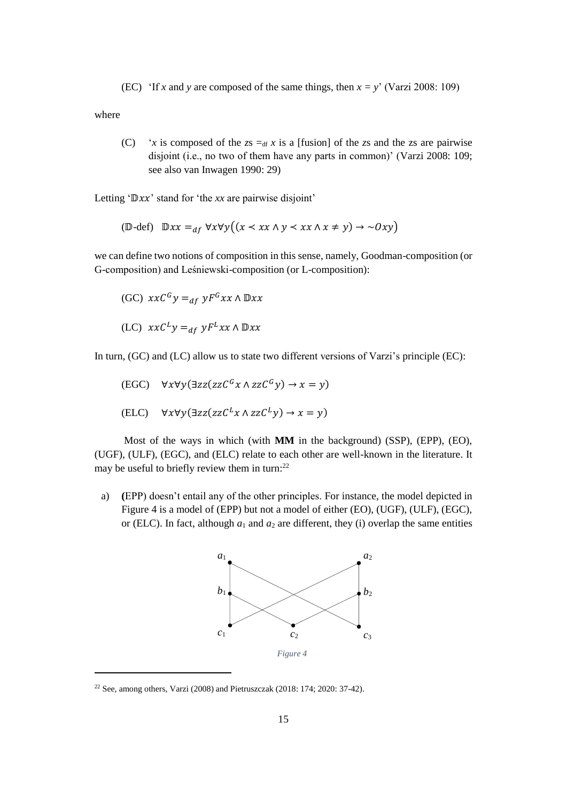(EC) 'If *x* and *y* are composed of the same things, then  $x = y'$  (Varzi 2008: 109)

where

 $\overline{\phantom{a}}$ 

(C) '*x* is composed of the  $zs = df x$  is a [fusion] of the *zs* and the *zs* are pairwise disjoint (i.e., no two of them have any parts in common)' (Varzi 2008: 109; see also van Inwagen 1990: 29)

Letting ' $\mathbb{D}xx$ ' stand for 'the *xx* are pairwise disjoint'

$$
(\mathbb{D}\text{-def}) \quad \mathbb{D}xx =_{df} \forall x \forall y \big( (x \prec xx \land y \prec xx \land x \neq y) \rightarrow \sim Oxy \big)
$$

we can define two notions of composition in this sense, namely, Goodman-composition (or G-composition) and Leśniewski-composition (or L-composition):

$$
(GC) \ xxC^{G}y =_{df} yF^{G}xx \wedge \mathbb{D}xx
$$

$$
(LC) xxCLy =df yFLxx \wedge \mathbb{D}xx
$$

In turn, (GC) and (LC) allow us to state two different versions of Varzi's principle (EC):

$$
\begin{aligned} \text{(EGC)} \quad & \forall x \forall y (\exists zz (zzC^G x \land zzC^G y) \to x = y) \\ \text{(ELC)} \quad & \forall x \forall y (\exists zz (zzC^L x \land zzC^L y) \to x = y) \end{aligned}
$$

Most of the ways in which (with **MM** in the background) (SSP), (EPP), (EO), (UGF), (ULF), (EGC), and (ELC) relate to each other are well-known in the literature. It may be useful to briefly review them in turn:<sup>22</sup>

a) **(**EPP) doesn't entail any of the other principles. For instance, the model depicted in Figure 4 is a model of (EPP) but not a model of either (EO), (UGF), (ULF), (EGC), or (ELC). In fact, although  $a_1$  and  $a_2$  are different, they (i) overlap the same entities



<sup>22</sup> See, among others, Varzi (2008) and Pietruszczak (2018: 174; 2020: 37-42).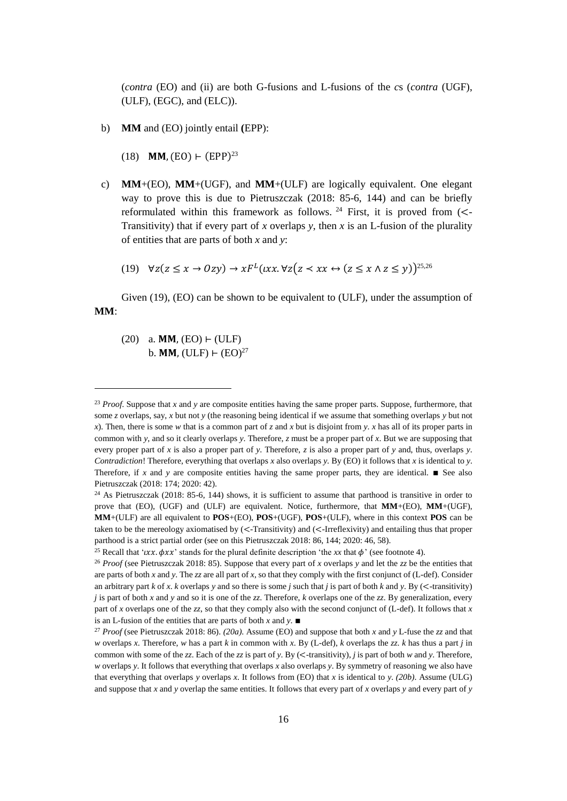(*contra* (EO) and (ii) are both G-fusions and L-fusions of the *c*s (*contra* (UGF), (ULF), (EGC), and (ELC)).

- b) **MM** and (EO) jointly entail **(**EPP):
	- (18) **MM**, (EO)  $\vdash$  (EPP)<sup>23</sup>
- c) **MM**+(EO), **MM**+(UGF), and **MM**+(ULF) are logically equivalent. One elegant way to prove this is due to Pietruszczak (2018: 85-6, 144) and can be briefly reformulated within this framework as follows. <sup>24</sup> First, it is proved from  $\left(\rightlt -$ Transitivity) that if every part of *x* overlaps *y*, then *x* is an L-fusion of the plurality of entities that are parts of both *x* and *y*:
	- (19)  $\forall z(z \leq x \rightarrow Ozy) \rightarrow xF^L(xx.\forall z(z \prec xx \leftrightarrow (z \leq x \land z \leq y))^{25,26}$

Given (19), (EO) can be shown to be equivalent to (ULF), under the assumption of **MM**:

 $(20)$  a. MM,  $(EO)$  ⊢ (ULF) b. **MM**, (ULF)  $\vdash$  (EO)<sup>27</sup>

<sup>&</sup>lt;sup>23</sup> *Proof.* Suppose that *x* and *y* are composite entities having the same proper parts. Suppose, furthermore, that some *z* overlaps, say, *x* but not *y* (the reasoning being identical if we assume that something overlaps *y* but not *x*). Then, there is some *w* that is a common part of *z* and *x* but is disjoint from *y*. *x* has all of its proper parts in common with *y*, and so it clearly overlaps *y*. Therefore, *z* must be a proper part of *x*. But we are supposing that every proper part of *x* is also a proper part of *y*. Therefore, *z* is also a proper part of *y* and, thus, overlaps *y*. *Contradiction*! Therefore, everything that overlaps *x* also overlaps *y*. By (EO) it follows that *x* is identical to *y*. Therefore, if *x* and *y* are composite entities having the same proper parts, they are identical. ■ See also Pietruszczak (2018: 174; 2020: 42).

<sup>&</sup>lt;sup>24</sup> As Pietruszczak (2018: 85-6, 144) shows, it is sufficient to assume that parthood is transitive in order to prove that (EO), (UGF) and (ULF) are equivalent. Notice, furthermore, that **MM**+(EO), **MM**+(UGF), **MM**+(ULF) are all equivalent to **POS**+(EO), **POS**+(UGF), **POS**+(ULF), where in this context **POS** can be taken to be the mereology axiomatised by (<-Transitivity) and (<-Irreflexivity) and entailing thus that proper parthood is a strict partial order (see on this Pietruszczak 2018: 86, 144; 2020: 46, 58).

<sup>&</sup>lt;sup>25</sup> Recall that '*xx*.  $\phi$ *xx*' stands for the plural definite description 'the *xx* that  $\phi$ ' (see footnote 4).

<sup>26</sup> *Proof* (see Pietruszczak 2018: 85). Suppose that every part of *x* overlaps *y* and let the *zz* be the entities that are parts of both *x* and *y*. The *zz* are all part of *x*, so that they comply with the first conjunct of (L-def). Consider an arbitrary part  $k$  of  $x$ .  $k$  overlaps  $y$  and so there is some  $j$  such that  $j$  is part of both  $k$  and  $y$ . By ( $\leq$ -transitivity) *j* is part of both *x* and *y* and so it is one of the *zz*. Therefore, *k* overlaps one of the *zz*. By generalization, every part of *x* overlaps one of the *zz*, so that they comply also with the second conjunct of (L-def). It follows that *x* is an L-fusion of the entities that are parts of both *x* and *y*. ∎

<sup>27</sup> *Proof* (see Pietruszczak 2018: 86). *(20a)*. Assume (EO) and suppose that both *x* and *y* L-fuse the *zz* and that *w* overlaps *x*. Therefore, *w* has a part *k* in common with *x*. By (L-def), *k* overlaps the *zz*. *k* has thus a part *j* in common with some of the *zz*. Each of the *zz* is part of *y*. By (<-transitivity), *j* is part of both *w* and *y*. Therefore, *w* overlaps *y*. It follows that everything that overlaps *x* also overlaps *y*. By symmetry of reasoning we also have that everything that overlaps *y* overlaps *x*. It follows from (EO) that *x* is identical to *y*. (20b). Assume (ULG) and suppose that *x* and *y* overlap the same entities. It follows that every part of *x* overlaps *y* and every part of *y*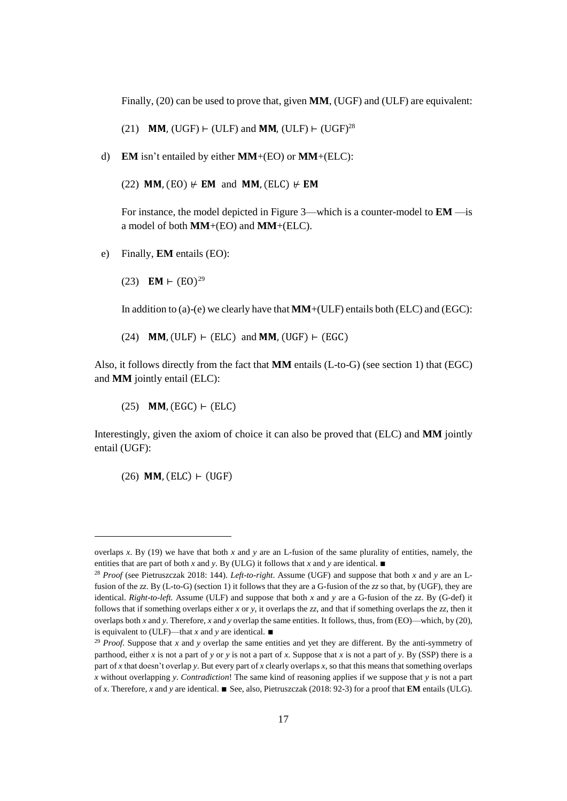Finally, (20) can be used to prove that, given **MM**, (UGF) and (ULF) are equivalent:

(21) **MM,** (UGF)  $\vdash$  (ULF) and **MM**, (ULF)  $\vdash$  (UGF)<sup>28</sup>

d) **EM** isn't entailed by either **MM**+(EO) or **MM**+(ELC):

 $(22)$  MM,  $(EO)$   $\neq$  **EM** and MM,  $(ELC)$   $\neq$  **EM** 

For instance, the model depicted in Figure 3—which is a counter-model to **EM** —is a model of both **MM**+(EO) and **MM**+(ELC).

e) Finally, **EM** entails (EO):

(23) **EM**  $\vdash$  (EO)<sup>29</sup>

In addition to (a)-(e) we clearly have that **MM**+(ULF) entails both (ELC) and (EGC):

(24)  $MM$ , (ULF)  $\vdash$  (ELC) and MM, (UGF)  $\vdash$  (EGC)

Also, it follows directly from the fact that **MM** entails (L-to-G) (see section 1) that (EGC) and **MM** jointly entail (ELC):

 $(25)$  MM,  $(EGC)$  ⊢  $(ELC)$ 

Interestingly, given the axiom of choice it can also be proved that (ELC) and **MM** jointly entail (UGF):

 $(26)$  **MM**,  $(ELC)$  ⊢ (UGF)

 $\overline{\phantom{a}}$ 

overlaps *x*. By (19) we have that both *x* and *y* are an L-fusion of the same plurality of entities, namely, the entities that are part of both *x* and *y*. By (ULG) it follows that *x* and *y* are identical. ■

<sup>28</sup> *Proof* (see Pietruszczak 2018: 144). *Left-to-right*. Assume (UGF) and suppose that both *x* and *y* are an Lfusion of the *zz*. By (L-to-G) (section 1) it follows that they are a G-fusion of the *zz* so that, by (UGF), they are identical. *Right-to-left.* Assume (ULF) and suppose that both *x* and *y* are a G-fusion of the *zz*. By (G-def) it follows that if something overlaps either *x* or *y*, it overlaps the *zz*, and that if something overlaps the *zz*, then it overlaps both *x* and *y*. Therefore, *x* and *y* overlap the same entities. It follows, thus, from (EO)—which, by (20), is equivalent to (ULF)—that *x* and *y* are identical. ∎

<sup>29</sup> *Proof*. Suppose that *x* and *y* overlap the same entities and yet they are different. By the anti-symmetry of parthood, either *x* is not a part of *y* or *y* is not a part of *x*. Suppose that *x* is not a part of *y*. By (SSP) there is a part of *x* that doesn't overlap *y*. But every part of *x* clearly overlaps *x*, so that this means that something overlaps *x* without overlapping *y*. *Contradiction*! The same kind of reasoning applies if we suppose that *y* is not a part of *x*. Therefore, *x* and *y* are identical. ∎ See, also, Pietruszczak (2018: 92-3) for a proof that **EM** entails (ULG).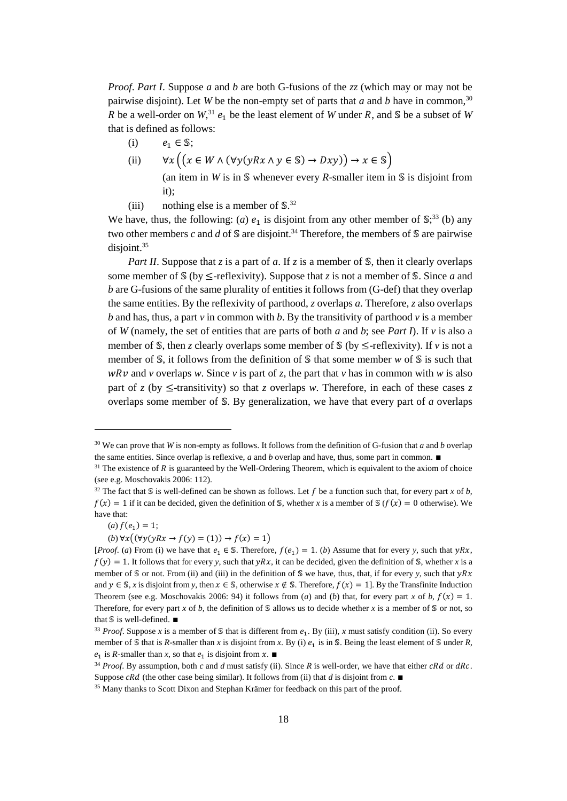*Proof*. *Part I*. Suppose *a* and *b* are both G-fusions of the *zz* (which may or may not be pairwise disjoint). Let *W* be the non-empty set of parts that *a* and *b* have in common, 30 R be a well-order on  $W^{31}$ ,  $e_1$  be the least element of W under R, and S be a subset of W that is defined as follows:

- (i)  $e_1 \in \mathbb{S}$ ;
- (ii)  $\forall x ((x \in W \land (\forall y(yRx \land y \in \mathbb{S}) \rightarrow Dxy)) \rightarrow x \in \mathbb{S})$

(an item in *W* is in  $\mathcal S$  whenever every *R*-smaller item in  $\mathcal S$  is disjoint from it);

(iii) nothing else is a member of  $\mathbb{S}^{32}$ .

We have, thus, the following: (*a*)  $e_1$  is disjoint from any other member of  $\mathbb{S}^{33}$  (b) any two other members  $c$  and  $d$  of  $\mathbb S$  are disjoint.<sup>34</sup> Therefore, the members of  $\mathbb S$  are pairwise disjoint. 35

*Part II*. Suppose that *z* is a part of *a*. If *z* is a member of *S*, then it clearly overlaps some member of  $\mathcal S$  (by  $\leq$ -reflexivity). Suppose that *z* is not a member of  $\mathcal S$ . Since *a* and *b* are G-fusions of the same plurality of entities it follows from (G-def) that they overlap the same entities. By the reflexivity of parthood, *z* overlaps *a*. Therefore, *z* also overlaps  *and has, thus, a part*  $*v*$  *in common with*  $*b*$ *. By the transitivity of parthood*  $*v*$  *is a member* of *W* (namely, the set of entities that are parts of both *a* and *b*; see *Part I*). If *v* is also a member of  $\mathcal S$ , then *z* clearly overlaps some member of  $\mathcal S$  (by  $\leq$ -reflexivity). If *v* is not a member of  $\mathcal S$ , it follows from the definition of  $\mathcal S$  that some member  $w$  of  $\mathcal S$  is such that  $wRv$  and *v* overlaps *w*. Since *v* is part of *z*, the part that *v* has in common with *w* is also part of *z* (by  $\le$ -transitivity) so that *z* overlaps *w*. Therefore, in each of these cases *z* overlaps some member of  $S$ . By generalization, we have that every part of *a* overlaps

l

 $(b) \forall x ((\forall y(yRx \rightarrow f(y) = (1))) \rightarrow f(x) = 1)$ 

<sup>30</sup> We can prove that *W* is non-empty as follows. It follows from the definition of G-fusion that *a* and *b* overlap the same entities. Since overlap is reflexive, *a* and *b* overlap and have, thus, some part in common. ∎

 $31$  The existence of R is guaranteed by the Well-Ordering Theorem, which is equivalent to the axiom of choice (see e.g. Moschovakis 2006: 112).

<sup>&</sup>lt;sup>32</sup> The fact that S is well-defined can be shown as follows. Let f be a function such that, for every part *x* of *b*,  $f(x) = 1$  if it can be decided, given the definition of \$, whether *x* is a member of  $\mathcal{S}(f(x)) = 0$  otherwise). We have that:

 $(a) f(e_1) = 1;$ 

<sup>[</sup>*Proof.* (*a*) From (i) we have that  $e_1 \in S$ . Therefore,  $f(e_1) = 1$ . (*b*) Assume that for every *y*, such that  $yRx$ ,  $f(y) = 1$ . It follows that for every *y*, such that *yRx*, it can be decided, given the definition of *S*, whether *x* is a member of  $\mathcal S$  or not. From (ii) and (iii) in the definition of  $\mathcal S$  we have, thus, that, if for every *y*, such that  $yRx$ and  $y \in \mathbb{S}$ , *x* is disjoint from *y*, then  $x \in \mathbb{S}$ , otherwise  $x \notin \mathbb{S}$ . Therefore,  $f(x) = 1$ . By the Transfinite Induction Theorem (see e.g. Moschovakis 2006: 94) it follows from (*a*) and (*b*) that, for every part *x* of *b*,  $f(x) = 1$ . Therefore, for every part *x* of *b*, the definition of  $\mathcal S$  allows us to decide whether *x* is a member of  $\mathcal S$  or not, so that  $\mathbb S$  is well-defined. ■

<sup>&</sup>lt;sup>33</sup> *Proof.* Suppose x is a member of  $\mathcal{S}$  that is different from  $e_1$ . By (iii), x must satisfy condition (ii). So every member of  $\mathcal S$  that is *R*-smaller than *x* is disjoint from *x*. By (i)  $e_1$  is in  $\mathcal S$ . Being the least element of  $\mathcal S$  under *R*,  $e_1$  is *R*-smaller than *x*, so that  $e_1$  is disjoint from *x*. ■

 $34$  *Proof.* By assumption, both *c* and *d* must satisfy (ii). Since *R* is well-order, we have that either *cRd* or *dRc*. Suppose  $cRd$  (the other case being similar). It follows from (ii) that *d* is disjoint from  $c$ . ■

<sup>&</sup>lt;sup>35</sup> Many thanks to Scott Dixon and Stephan Krämer for feedback on this part of the proof.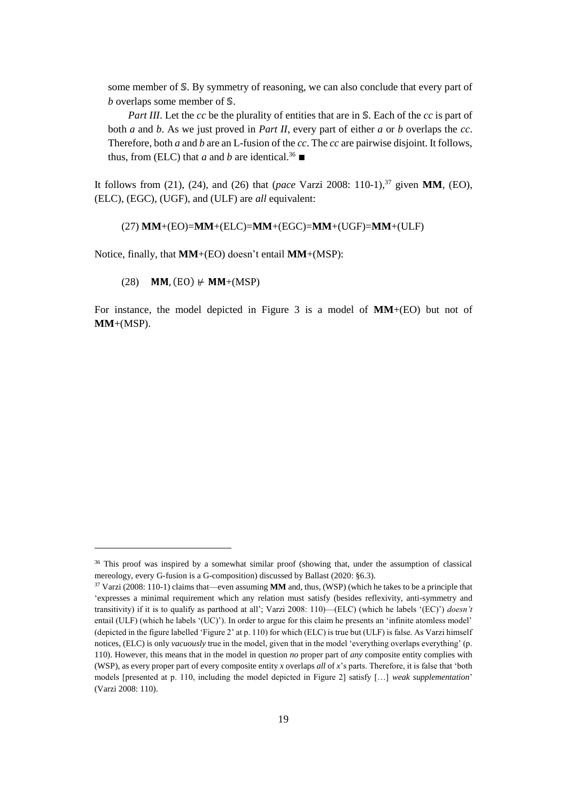some member of S. By symmetry of reasoning, we can also conclude that every part of *b* overlaps some member of S.

*Part III*. Let the *cc* be the plurality of entities that are in S. Each of the *cc* is part of both *a* and *b*. As we just proved in *Part II*, every part of either *a* or *b* overlaps the *cc*. Therefore, both *a* and *b* are an L-fusion of the *cc*. The *cc* are pairwise disjoint. It follows, thus, from (ELC) that *a* and *b* are identical.<sup>36</sup> ■

It follows from (21), (24), and (26) that (*pace* Varzi 2008: 110-1), <sup>37</sup> given **MM**, (EO), (ELC), (EGC), (UGF), and (ULF) are *all* equivalent:

(27) **MM**+(EO)=**MM**+(ELC)=**MM**+(EGC)=**MM**+(UGF)=**MM**+(ULF)

Notice, finally, that **MM**+(EO) doesn't entail **MM**+(MSP):

(28) **MM, (EO)**  $\neq$  **MM**+(MSP)

l

For instance, the model depicted in Figure 3 is a model of **MM**+(EO) but not of **MM**+(MSP).

<sup>&</sup>lt;sup>36</sup> This proof was inspired by a somewhat similar proof (showing that, under the assumption of classical mereology, every G-fusion is a G-composition) discussed by Ballast (2020: §6.3).

<sup>37</sup> Varzi (2008: 110-1) claims that—even assuming **MM** and, thus, (WSP) (which he takes to be a principle that 'expresses a minimal requirement which any relation must satisfy (besides reflexivity, anti-symmetry and transitivity) if it is to qualify as parthood at all'; Varzi 2008: 110)—(ELC) (which he labels '(EC)') *doesn't* entail (ULF) (which he labels '(UC)'). In order to argue for this claim he presents an 'infinite atomless model' (depicted in the figure labelled 'Figure 2' at p. 110) for which (ELC) is true but (ULF) is false. As Varzi himself notices, (ELC) is only *vacuously* true in the model, given that in the model 'everything overlaps everything' (p. 110). However, this means that in the model in question *no* proper part of *any* composite entity complies with (WSP), as every proper part of every composite entity *x* overlaps *all* of *x*'s parts. Therefore, it is false that 'both models [presented at p. 110, including the model depicted in Figure 2] satisfy […] *weak supplementation*' (Varzi 2008: 110).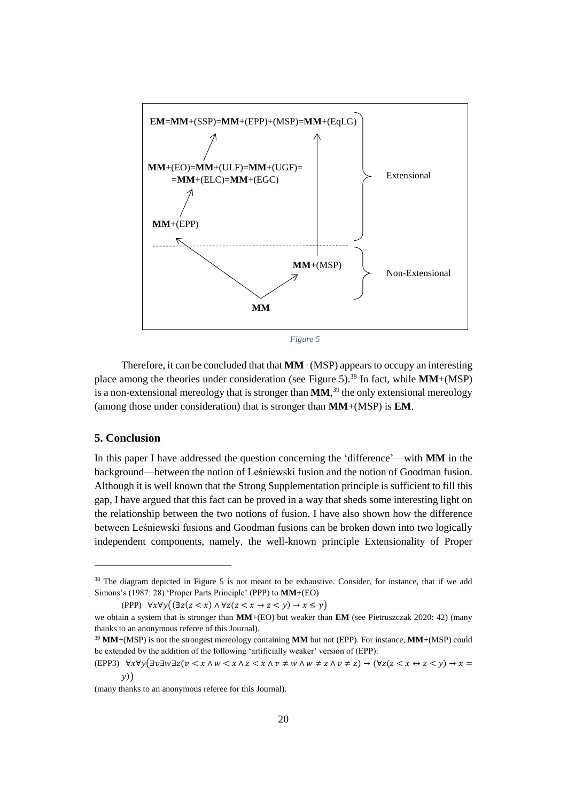

*Figure 5*

Therefore, it can be concluded that that **MM**+(MSP) appears to occupy an interesting place among the theories under consideration (see Figure 5). <sup>38</sup> In fact, while **MM**+(MSP) is a non-extensional mereology that is stronger than **MM**, <sup>39</sup> the only extensional mereology (among those under consideration) that is stronger than **MM**+(MSP) is **EM**.

# **5. Conclusion**

 $\overline{\phantom{a}}$ 

In this paper I have addressed the question concerning the 'difference'—with **MM** in the background—between the notion of Leśniewski fusion and the notion of Goodman fusion. Although it is well known that the Strong Supplementation principle is sufficient to fill this gap, I have argued that this fact can be proved in a way that sheds some interesting light on the relationship between the two notions of fusion. I have also shown how the difference between Leśniewski fusions and Goodman fusions can be broken down into two logically independent components, namely, the well-known principle Extensionality of Proper

<sup>&</sup>lt;sup>38</sup> The diagram depicted in Figure 5 is not meant to be exhaustive. Consider, for instance, that if we add Simons's (1987: 28) 'Proper Parts Principle' (PPP) to **MM**+(EO)

<sup>(</sup>PPP)  $\forall x \forall y ((\exists z(z \leq x) \land \forall z(z \leq x \rightarrow z \leq y) \rightarrow x \leq y))$ 

we obtain a system that is stronger than **MM**+(EO) but weaker than **EM** (see Pietruszczak 2020: 42) (many thanks to an anonymous referee of this Journal).

<sup>39</sup> **MM**+(MSP) is not the strongest mereology containing **MM** but not (EPP). For instance, **MM**+(MSP) could be extended by the addition of the following 'artificially weaker' version of (EPP):

<sup>(</sup>EPP3)  $\forall x \forall y (\exists v \exists w \exists z (v \leq x \land w \leq x \land z \leq x \land v \neq w \land w \neq z \land v \neq z) \rightarrow (\forall z (z \leq x \leftrightarrow z \leq y) \rightarrow x =$ ))

<sup>(</sup>many thanks to an anonymous referee for this Journal).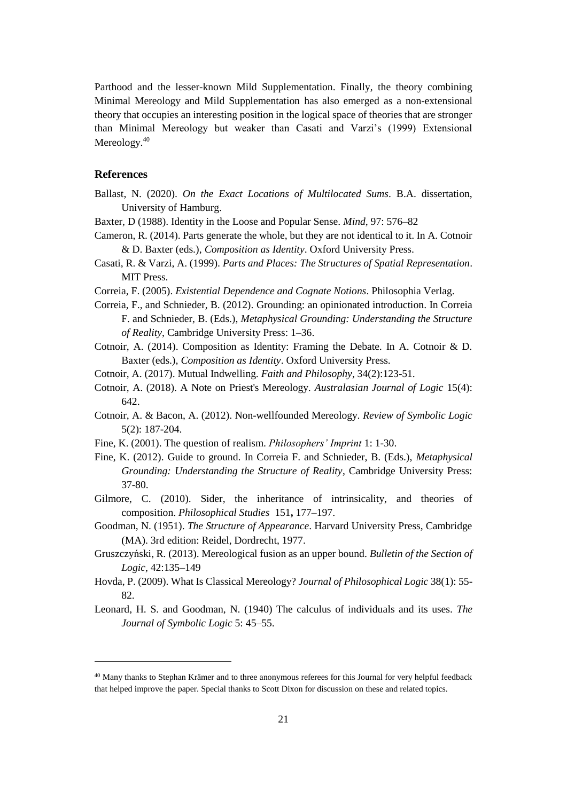Parthood and the lesser-known Mild Supplementation. Finally, the theory combining Minimal Mereology and Mild Supplementation has also emerged as a non-extensional theory that occupies an interesting position in the logical space of theories that are stronger than Minimal Mereology but weaker than Casati and Varzi's (1999) Extensional Mereology.<sup>40</sup>

# **References**

 $\overline{\phantom{a}}$ 

- Ballast, N. (2020). *On the Exact Locations of Multilocated Sums*. B.A. dissertation, University of Hamburg.
- Baxter, D (1988). Identity in the Loose and Popular Sense. *Mind*, 97: 576–82
- Cameron, R. (2014). Parts generate the whole, but they are not identical to it. In A. Cotnoir & D. Baxter (eds.), *Composition as Identity*. Oxford University Press.
- Casati, R. & Varzi, A. (1999). *Parts and Places: The Structures of Spatial Representation*. MIT Press.
- Correia, F. (2005). *Existential Dependence and Cognate Notions*. Philosophia Verlag.
- Correia, F., and Schnieder, B. (2012). Grounding: an opinionated introduction. In Correia F. and Schnieder, B. (Eds.), *Metaphysical Grounding: Understanding the Structure of Reality*, Cambridge University Press: 1–36.
- Cotnoir, A. (2014). Composition as Identity: Framing the Debate. In A. Cotnoir & D. Baxter (eds.), *Composition as Identity*. Oxford University Press.
- Cotnoir, A. (2017). Mutual Indwelling. *Faith and Philosophy*, 34(2):123-51.
- Cotnoir, A. (2018). A Note on Priest's Mereology. *Australasian Journal of Logic* 15(4): 642.
- Cotnoir, A. & Bacon, A. (2012). Non-wellfounded Mereology. *Review of Symbolic Logic* 5(2): 187-204.
- Fine, K. (2001). The question of realism. *Philosophers' Imprint* 1: 1-30.
- Fine, K. (2012). Guide to ground. In Correia F. and Schnieder, B. (Eds.), *Metaphysical Grounding: Understanding the Structure of Reality*, Cambridge University Press: 37-80.
- Gilmore, C. (2010). Sider, the inheritance of intrinsicality, and theories of composition. *Philosophical Studies* 151**,** 177–197.
- Goodman, N. (1951). *The Structure of Appearance*. Harvard University Press, Cambridge (MA). 3rd edition: Reidel, Dordrecht, 1977.
- Gruszczyński, R. (2013). Mereological fusion as an upper bound. *Bulletin of the Section of Logic*, 42:135–149
- Hovda, P. (2009). What Is Classical Mereology? *Journal of Philosophical Logic* 38(1): 55- 82.
- Leonard, H. S. and Goodman, N. (1940) The calculus of individuals and its uses. *The Journal of Symbolic Logic* 5: 45–55.

<sup>&</sup>lt;sup>40</sup> Many thanks to Stephan Krämer and to three anonymous referees for this Journal for very helpful feedback that helped improve the paper. Special thanks to Scott Dixon for discussion on these and related topics.